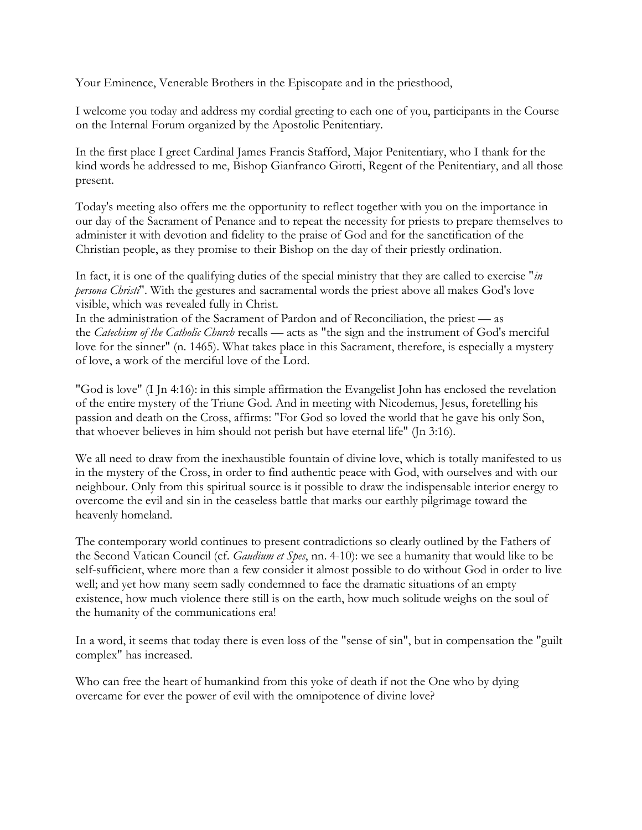Your Eminence, Venerable Brothers in the Episcopate and in the priesthood,

I welcome you today and address my cordial greeting to each one of you, participants in the Course on the Internal Forum organized by the Apostolic Penitentiary.

In the first place I greet Cardinal James Francis Stafford, Major Penitentiary, who I thank for the kind words he addressed to me, Bishop Gianfranco Girotti, Regent of the Penitentiary, and all those present.

Today's meeting also offers me the opportunity to reflect together with you on the importance in our day of the Sacrament of Penance and to repeat the necessity for priests to prepare themselves to administer it with devotion and fidelity to the praise of God and for the sanctification of the Christian people, as they promise to their Bishop on the day of their priestly ordination.

In fact, it is one of the qualifying duties of the special ministry that they are called to exercise "*in persona Christi*". With the gestures and sacramental words the priest above all makes God's love visible, which was revealed fully in Christ.

In the administration of the Sacrament of Pardon and of Reconciliation, the priest — as the *Catechism of the Catholic Church* recalls — acts as "the sign and the instrument of God's merciful love for the sinner" (n. 1465). What takes place in this Sacrament, therefore, is especially a mystery of love, a work of the merciful love of the Lord.

"God is love" (I Jn 4:16): in this simple affirmation the Evangelist John has enclosed the revelation of the entire mystery of the Triune God. And in meeting with Nicodemus, Jesus, foretelling his passion and death on the Cross, affirms: "For God so loved the world that he gave his only Son, that whoever believes in him should not perish but have eternal life" (Jn 3:16).

We all need to draw from the inexhaustible fountain of divine love, which is totally manifested to us in the mystery of the Cross, in order to find authentic peace with God, with ourselves and with our neighbour. Only from this spiritual source is it possible to draw the indispensable interior energy to overcome the evil and sin in the ceaseless battle that marks our earthly pilgrimage toward the heavenly homeland.

The contemporary world continues to present contradictions so clearly outlined by the Fathers of the Second Vatican Council (cf. *Gaudium et Spes*, nn. 4-10): we see a humanity that would like to be self-sufficient, where more than a few consider it almost possible to do without God in order to live well; and yet how many seem sadly condemned to face the dramatic situations of an empty existence, how much violence there still is on the earth, how much solitude weighs on the soul of the humanity of the communications era!

In a word, it seems that today there is even loss of the "sense of sin", but in compensation the "guilt complex" has increased.

Who can free the heart of humankind from this yoke of death if not the One who by dying overcame for ever the power of evil with the omnipotence of divine love?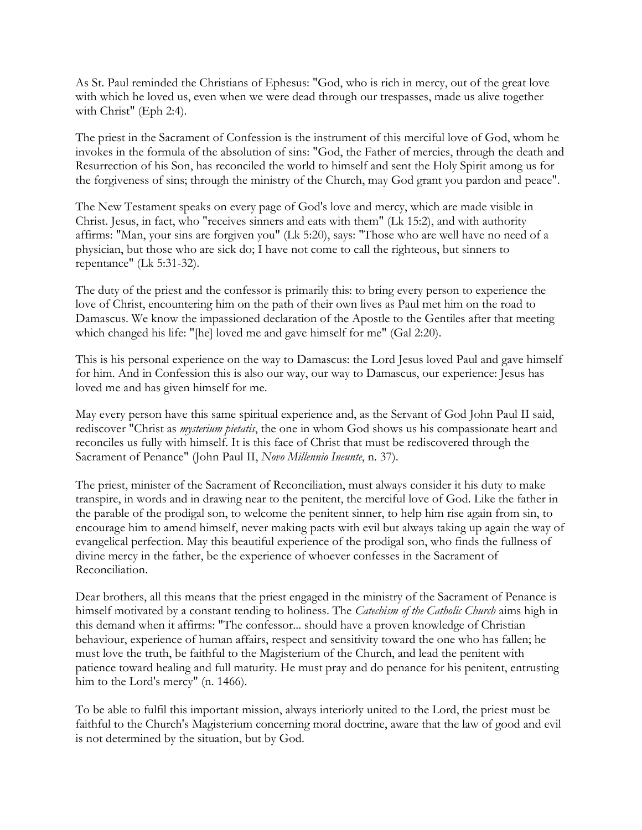As St. Paul reminded the Christians of Ephesus: "God, who is rich in mercy, out of the great love with which he loved us, even when we were dead through our trespasses, made us alive together with Christ" (Eph 2:4).

The priest in the Sacrament of Confession is the instrument of this merciful love of God, whom he invokes in the formula of the absolution of sins: "God, the Father of mercies, through the death and Resurrection of his Son, has reconciled the world to himself and sent the Holy Spirit among us for the forgiveness of sins; through the ministry of the Church, may God grant you pardon and peace".

The New Testament speaks on every page of God's love and mercy, which are made visible in Christ. Jesus, in fact, who "receives sinners and eats with them" (Lk 15:2), and with authority affirms: "Man, your sins are forgiven you" (Lk 5:20), says: "Those who are well have no need of a physician, but those who are sick do; I have not come to call the righteous, but sinners to repentance" (Lk 5:31-32).

The duty of the priest and the confessor is primarily this: to bring every person to experience the love of Christ, encountering him on the path of their own lives as Paul met him on the road to Damascus. We know the impassioned declaration of the Apostle to the Gentiles after that meeting which changed his life: "[he] loved me and gave himself for me" (Gal 2:20).

This is his personal experience on the way to Damascus: the Lord Jesus loved Paul and gave himself for him. And in Confession this is also our way, our way to Damascus, our experience: Jesus has loved me and has given himself for me.

May every person have this same spiritual experience and, as the Servant of God John Paul II said, rediscover "Christ as *mysterium pietatis*, the one in whom God shows us his compassionate heart and reconciles us fully with himself. It is this face of Christ that must be rediscovered through the Sacrament of Penance" (John Paul II, *Novo Millennio Ineunte*, n. 37).

The priest, minister of the Sacrament of Reconciliation, must always consider it his duty to make transpire, in words and in drawing near to the penitent, the merciful love of God. Like the father in the parable of the prodigal son, to welcome the penitent sinner, to help him rise again from sin, to encourage him to amend himself, never making pacts with evil but always taking up again the way of evangelical perfection. May this beautiful experience of the prodigal son, who finds the fullness of divine mercy in the father, be the experience of whoever confesses in the Sacrament of Reconciliation.

Dear brothers, all this means that the priest engaged in the ministry of the Sacrament of Penance is himself motivated by a constant tending to holiness. The *Catechism of the Catholic Church* aims high in this demand when it affirms: "The confessor... should have a proven knowledge of Christian behaviour, experience of human affairs, respect and sensitivity toward the one who has fallen; he must love the truth, be faithful to the Magisterium of the Church, and lead the penitent with patience toward healing and full maturity. He must pray and do penance for his penitent, entrusting him to the Lord's mercy" (n. 1466).

To be able to fulfil this important mission, always interiorly united to the Lord, the priest must be faithful to the Church's Magisterium concerning moral doctrine, aware that the law of good and evil is not determined by the situation, but by God.